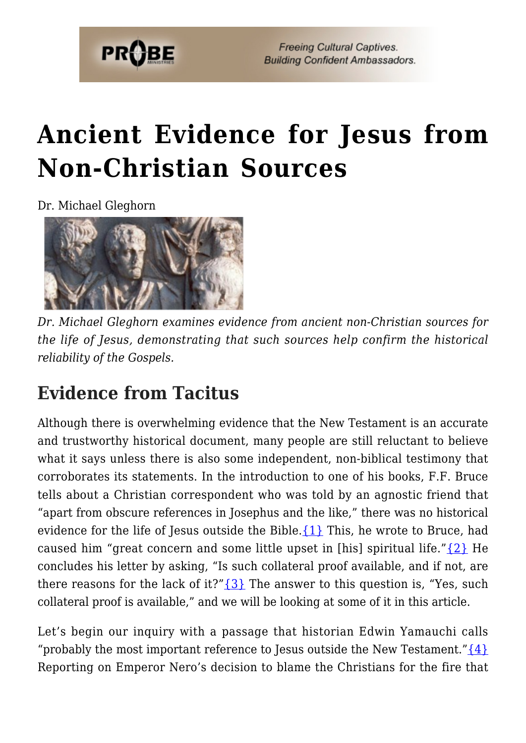

# **[Ancient Evidence for Jesus from](https://probe.org/ancient-evidence-for-jesus-from-non-christian-sources-2/) [Non-Christian Sources](https://probe.org/ancient-evidence-for-jesus-from-non-christian-sources-2/)**

Dr. Michael Gleghorn



*Dr. Michael Gleghorn examines evidence from ancient non-Christian sources for the life of Jesus, demonstrating that such sources help confirm the historical reliability of the Gospels.*

## **Evidence from Tacitus**

Although there is overwhelming evidence that the New Testament is an accurate and trustworthy historical document, many people are still reluctant to believe what it says unless there is also some independent, non-biblical testimony that corroborates its statements. In the introduction to one of his books, F.F. Bruce tells about a Christian correspondent who was told by an agnostic friend that "apart from obscure references in Josephus and the like," there was no historical evidence for the life of Jesus outside the Bible. $\{1\}$  This, he wrote to Bruce, had caused him "great concern and some little upset in [his] spiritual life." $\{2\}$  He concludes his letter by asking, "Is such collateral proof available, and if not, are there reasons for the lack of it?" $\{3\}$  The answer to this question is, "Yes, such collateral proof is available," and we will be looking at some of it in this article.

Let's begin our inquiry with a passage that historian Edwin Yamauchi calls "probably the most important reference to Jesus outside the New Testament." $\{4\}$ Reporting on Emperor Nero's decision to blame the Christians for the fire that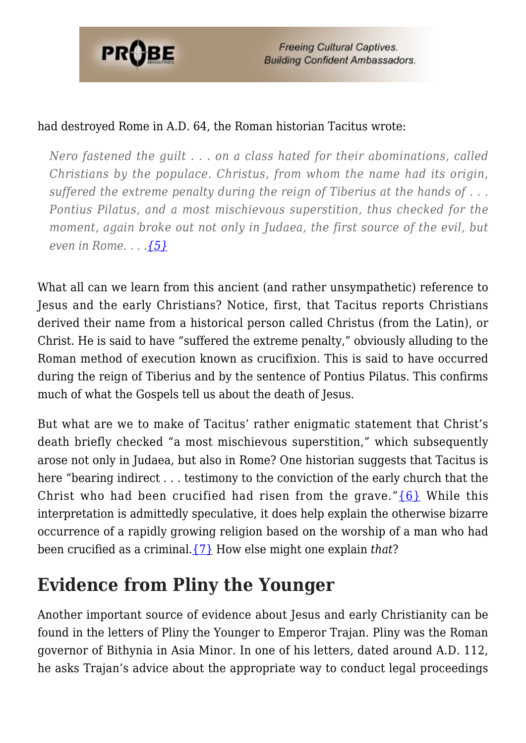

**Freeing Cultural Captives. Building Confident Ambassadors.** 

#### had destroyed Rome in A.D. 64, the Roman historian Tacitus wrote:

*Nero fastened the guilt . . . on a class hated for their abominations, called Christians by the populace. Christus, from whom the name had its origin, suffered the extreme penalty during the reign of Tiberius at the hands of . . . Pontius Pilatus, and a most mischievous superstition, thus checked for the moment, again broke out not only in Judaea, the first source of the evil, but even in Rome. . . .[{5}](#page-7-4)*

What all can we learn from this ancient (and rather unsympathetic) reference to Jesus and the early Christians? Notice, first, that Tacitus reports Christians derived their name from a historical person called Christus (from the Latin), or Christ. He is said to have "suffered the extreme penalty," obviously alluding to the Roman method of execution known as crucifixion. This is said to have occurred during the reign of Tiberius and by the sentence of Pontius Pilatus. This confirms much of what the Gospels tell us about the death of Jesus.

But what are we to make of Tacitus' rather enigmatic statement that Christ's death briefly checked "a most mischievous superstition," which subsequently arose not only in Judaea, but also in Rome? One historian suggests that Tacitus is here "bearing indirect . . . testimony to the conviction of the early church that the Christ who had been crucified had risen from the grave." $\{6\}$  While this interpretation is admittedly speculative, it does help explain the otherwise bizarre occurrence of a rapidly growing religion based on the worship of a man who had been crucified as a criminal.[{7}](#page-7-6) How else might one explain *that*?

# **Evidence from Pliny the Younger**

Another important source of evidence about Jesus and early Christianity can be found in the letters of Pliny the Younger to Emperor Trajan. Pliny was the Roman governor of Bithynia in Asia Minor. In one of his letters, dated around A.D. 112, he asks Trajan's advice about the appropriate way to conduct legal proceedings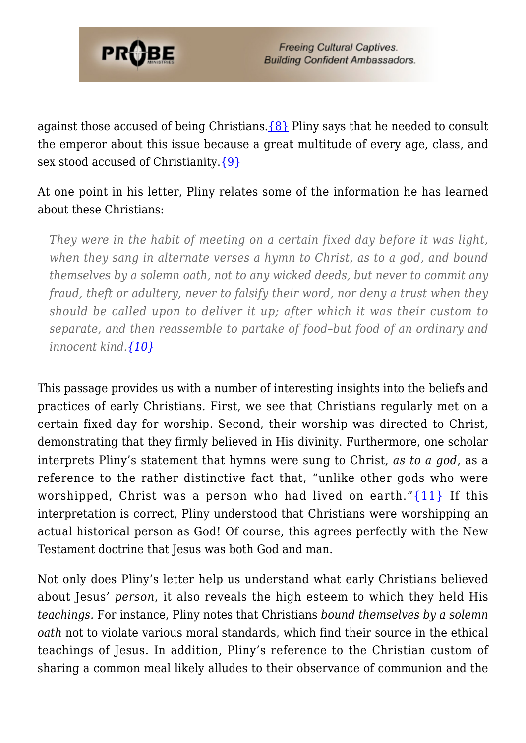

against those accused of being Christians. $\{8\}$  Pliny says that he needed to consult the emperor about this issue because a great multitude of every age, class, and sex stood accused of Christianity.[{9}](#page-7-8)

At one point in his letter, Pliny relates some of the information he has learned about these Christians:

*They were in the habit of meeting on a certain fixed day before it was light, when they sang in alternate verses a hymn to Christ, as to a god, and bound themselves by a solemn oath, not to any wicked deeds, but never to commit any fraud, theft or adultery, never to falsify their word, nor deny a trust when they should be called upon to deliver it up; after which it was their custom to separate, and then reassemble to partake of food–but food of an ordinary and innocent kind[.{10}](#page-7-9)*

This passage provides us with a number of interesting insights into the beliefs and practices of early Christians. First, we see that Christians regularly met on a certain fixed day for worship. Second, their worship was directed to Christ, demonstrating that they firmly believed in His divinity. Furthermore, one scholar interprets Pliny's statement that hymns were sung to Christ, *as to a god*, as a reference to the rather distinctive fact that, "unlike other gods who were worshipped, Christ was a person who had lived on earth." $\{11\}$  If this interpretation is correct, Pliny understood that Christians were worshipping an actual historical person as God! Of course, this agrees perfectly with the New Testament doctrine that Jesus was both God and man.

Not only does Pliny's letter help us understand what early Christians believed about Jesus' *person*, it also reveals the high esteem to which they held His *teachings.* For instance, Pliny notes that Christians *bound themselves by a solemn oath* not to violate various moral standards, which find their source in the ethical teachings of Jesus. In addition, Pliny's reference to the Christian custom of sharing a common meal likely alludes to their observance of communion and the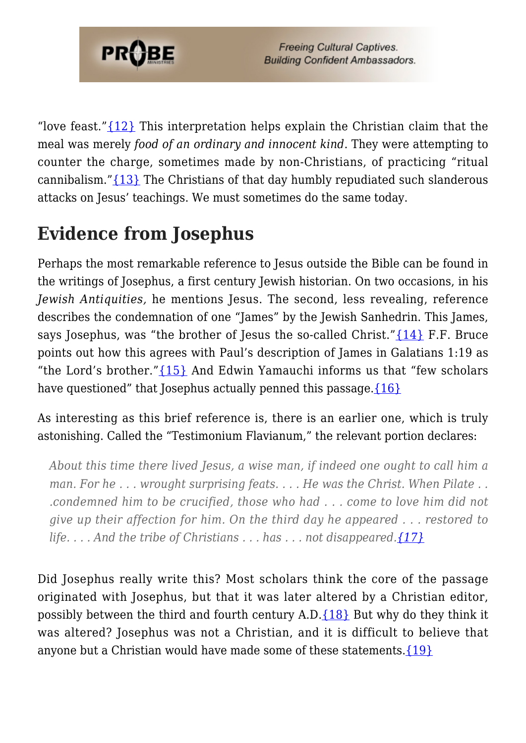

"love feast." $\{12\}$  This interpretation helps explain the Christian claim that the meal was merely *food of an ordinary and innocent kind*. They were attempting to counter the charge, sometimes made by non-Christians, of practicing "ritual cannibalism.["{13}](#page-8-2) The Christians of that day humbly repudiated such slanderous attacks on Jesus' teachings. We must sometimes do the same today.

# **Evidence from Josephus**

Perhaps the most remarkable reference to Jesus outside the Bible can be found in the writings of Josephus, a first century Jewish historian. On two occasions, in his *Jewish Antiquities,* he mentions Jesus. The second, less revealing, reference describes the condemnation of one "James" by the Jewish Sanhedrin. This James, says Josephus, was "the brother of Jesus the so-called Christ." $\{14\}$  F.F. Bruce points out how this agrees with Paul's description of James in Galatians 1:19 as "the Lord's brother."[{15}](#page-8-4) And Edwin Yamauchi informs us that "few scholars have questioned" that Josephus actually penned this passage. $\{16\}$ 

As interesting as this brief reference is, there is an earlier one, which is truly astonishing. Called the "Testimonium Flavianum," the relevant portion declares:

*About this time there lived Jesus, a wise man, if indeed one ought to call him a man. For he . . . wrought surprising feats. . . . He was the Christ. When Pilate . . .condemned him to be crucified, those who had . . . come to love him did not give up their affection for him. On the third day he appeared . . . restored to life. . . . And the tribe of Christians . . . has . . . not disappeared[.{17}](#page-8-6)*

Did Josephus really write this? Most scholars think the core of the passage originated with Josephus, but that it was later altered by a Christian editor, possibly between the third and fourth century A.D. $\{18\}$  But why do they think it was altered? Josephus was not a Christian, and it is difficult to believe that anyone but a Christian would have made some of these statements[.{19}](#page-8-8)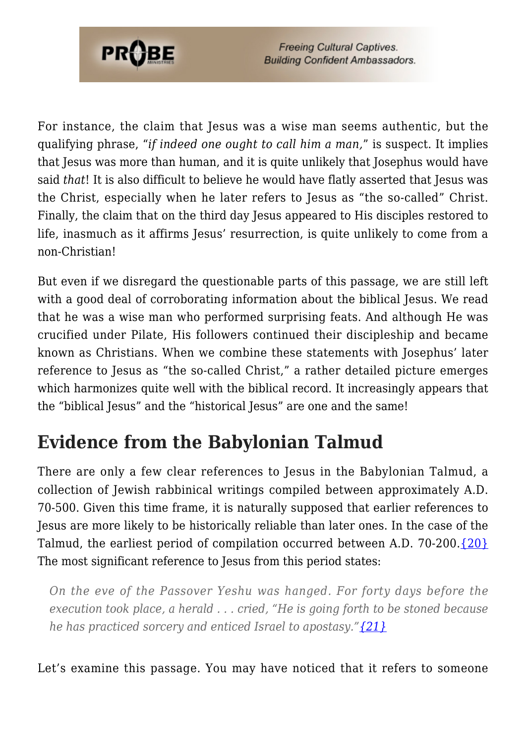

**Freeing Cultural Captives. Building Confident Ambassadors.** 

For instance, the claim that Jesus was a wise man seems authentic, but the qualifying phrase, "*if indeed one ought to call him a man,*" is suspect. It implies that Jesus was more than human, and it is quite unlikely that Josephus would have said *that*! It is also difficult to believe he would have flatly asserted that Jesus was the Christ, especially when he later refers to Jesus as "the so-called" Christ. Finally, the claim that on the third day Jesus appeared to His disciples restored to life, inasmuch as it affirms Jesus' resurrection, is quite unlikely to come from a non-Christian!

But even if we disregard the questionable parts of this passage, we are still left with a good deal of corroborating information about the biblical Jesus. We read that he was a wise man who performed surprising feats. And although He was crucified under Pilate, His followers continued their discipleship and became known as Christians. When we combine these statements with Josephus' later reference to Jesus as "the so-called Christ," a rather detailed picture emerges which harmonizes quite well with the biblical record. It increasingly appears that the "biblical Jesus" and the "historical Jesus" are one and the same!

## **Evidence from the Babylonian Talmud**

There are only a few clear references to Jesus in the Babylonian Talmud, a collection of Jewish rabbinical writings compiled between approximately A.D. 70-500. Given this time frame, it is naturally supposed that earlier references to Jesus are more likely to be historically reliable than later ones. In the case of the Talmud, the earliest period of compilation occurred between A.D. 70-200. $\{20\}$ The most significant reference to Jesus from this period states:

*On the eve of the Passover Yeshu was hanged. For forty days before the execution took place, a herald . . . cried, "He is going forth to be stoned because he has practiced sorcery and enticed Israel to apostasy."[{21}](#page-9-1)*

Let's examine this passage. You may have noticed that it refers to someone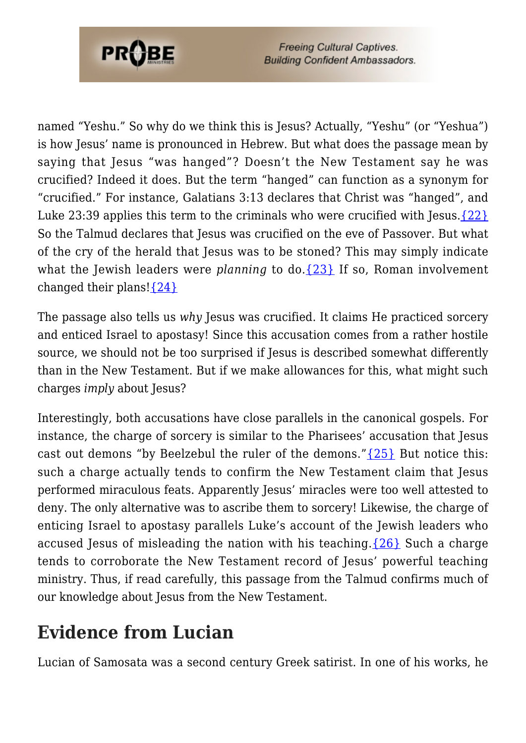

named "Yeshu." So why do we think this is Jesus? Actually, "Yeshu" (or "Yeshua") is how Jesus' name is pronounced in Hebrew. But what does the passage mean by saying that Jesus "was hanged"? Doesn't the New Testament say he was crucified? Indeed it does. But the term "hanged" can function as a synonym for "crucified." For instance, Galatians 3:13 declares that Christ was "hanged", and Luke 23:39 applies this term to the criminals who were crucified with Jesus. $\{22\}$ So the Talmud declares that Jesus was crucified on the eve of Passover. But what of the cry of the herald that Jesus was to be stoned? This may simply indicate what the Jewish leaders were *planning* to do. [{23}](#page-9-3) If so, Roman involvement changed their plans! $\{24\}$ 

The passage also tells us *why* Jesus was crucified. It claims He practiced sorcery and enticed Israel to apostasy! Since this accusation comes from a rather hostile source, we should not be too surprised if Jesus is described somewhat differently than in the New Testament. But if we make allowances for this, what might such charges *imply* about Jesus?

Interestingly, both accusations have close parallels in the canonical gospels. For instance, the charge of sorcery is similar to the Pharisees' accusation that Jesus cast out demons "by Beelzebul the ruler of the demons." $\{25\}$  But notice this: such a charge actually tends to confirm the New Testament claim that Jesus performed miraculous feats. Apparently Jesus' miracles were too well attested to deny. The only alternative was to ascribe them to sorcery! Likewise, the charge of enticing Israel to apostasy parallels Luke's account of the Jewish leaders who accused Jesus of misleading the nation with his teaching. $\{26\}$  Such a charge tends to corroborate the New Testament record of Jesus' powerful teaching ministry. Thus, if read carefully, this passage from the Talmud confirms much of our knowledge about Jesus from the New Testament.

## **Evidence from Lucian**

Lucian of Samosata was a second century Greek satirist. In one of his works, he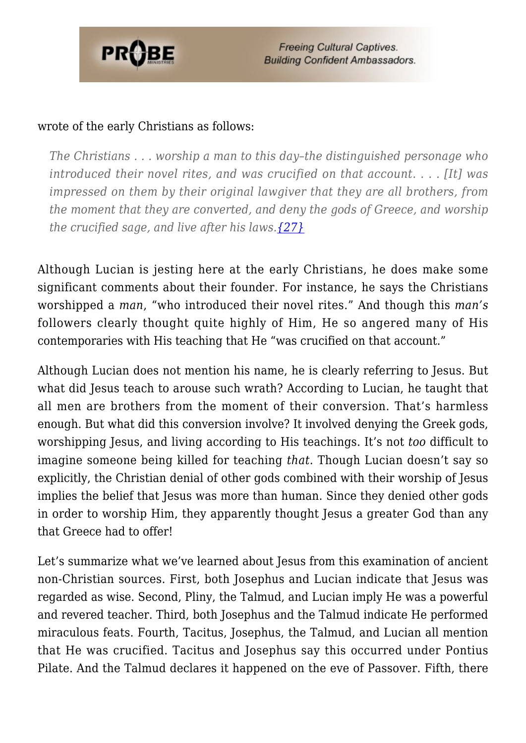

#### wrote of the early Christians as follows:

*The Christians . . . worship a man to this day–the distinguished personage who introduced their novel rites, and was crucified on that account. . . . [It] was impressed on them by their original lawgiver that they are all brothers, from the moment that they are converted, and deny the gods of Greece, and worship the crucified sage, and live after his laws[.{27}](#page-9-7)*

Although Lucian is jesting here at the early Christians, he does make some significant comments about their founder. For instance, he says the Christians worshipped a *man*, "who introduced their novel rites." And though this *man's* followers clearly thought quite highly of Him, He so angered many of His contemporaries with His teaching that He "was crucified on that account."

Although Lucian does not mention his name, he is clearly referring to Jesus. But what did Jesus teach to arouse such wrath? According to Lucian, he taught that all men are brothers from the moment of their conversion. That's harmless enough. But what did this conversion involve? It involved denying the Greek gods, worshipping Jesus, and living according to His teachings. It's not *too* difficult to imagine someone being killed for teaching *that*. Though Lucian doesn't say so explicitly, the Christian denial of other gods combined with their worship of Jesus implies the belief that Jesus was more than human. Since they denied other gods in order to worship Him, they apparently thought Jesus a greater God than any that Greece had to offer!

Let's summarize what we've learned about Jesus from this examination of ancient non-Christian sources. First, both Josephus and Lucian indicate that Jesus was regarded as wise. Second, Pliny, the Talmud, and Lucian imply He was a powerful and revered teacher. Third, both Josephus and the Talmud indicate He performed miraculous feats. Fourth, Tacitus, Josephus, the Talmud, and Lucian all mention that He was crucified. Tacitus and Josephus say this occurred under Pontius Pilate. And the Talmud declares it happened on the eve of Passover. Fifth, there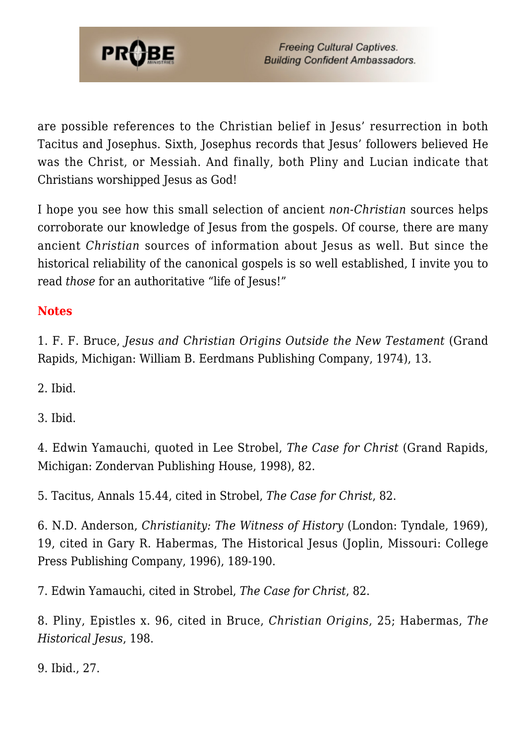

are possible references to the Christian belief in Jesus' resurrection in both Tacitus and Josephus. Sixth, Josephus records that Jesus' followers believed He was the Christ, or Messiah. And finally, both Pliny and Lucian indicate that Christians worshipped Jesus as God!

I hope you see how this small selection of ancient *non-Christian* sources helps corroborate our knowledge of Jesus from the gospels. Of course, there are many ancient *Christian* sources of information about Jesus as well. But since the historical reliability of the canonical gospels is so well established, I invite you to read *those* for an authoritative "life of Jesus!"

### **Notes**

<span id="page-7-0"></span>1. F. F. Bruce, *Jesus and Christian Origins Outside the New Testament* (Grand Rapids, Michigan: William B. Eerdmans Publishing Company, 1974), 13.

<span id="page-7-1"></span>2. Ibid.

<span id="page-7-2"></span>3. Ibid.

<span id="page-7-3"></span>4. Edwin Yamauchi, quoted in Lee Strobel, *The Case for Christ* (Grand Rapids, Michigan: Zondervan Publishing House, 1998), 82.

<span id="page-7-4"></span>5. Tacitus, Annals 15.44, cited in Strobel, *The Case for Christ*, 82.

<span id="page-7-5"></span>6. N.D. Anderson, *Christianity: The Witness of History* (London: Tyndale, 1969), 19, cited in Gary R. Habermas, The Historical Jesus (Joplin, Missouri: College Press Publishing Company, 1996), 189-190.

<span id="page-7-6"></span>7. Edwin Yamauchi, cited in Strobel, *The Case for Christ*, 82.

<span id="page-7-7"></span>8. Pliny, Epistles x. 96, cited in Bruce, *Christian Origins*, 25; Habermas, *The Historical Jesus*, 198.

<span id="page-7-9"></span><span id="page-7-8"></span>9. Ibid., 27.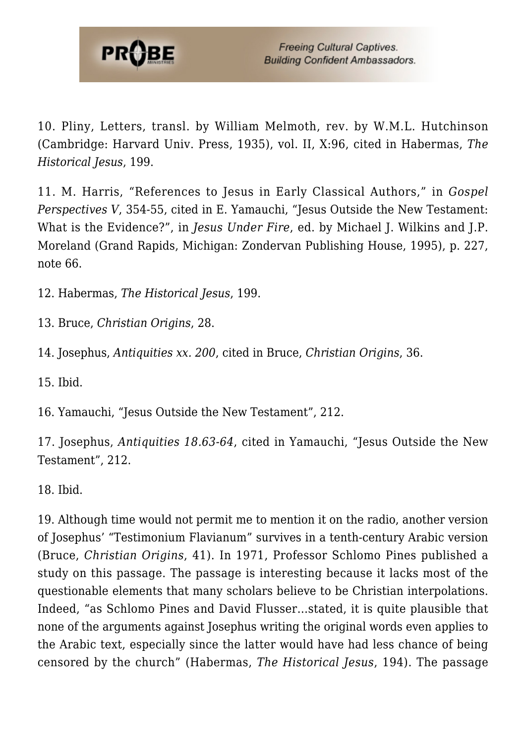

10. Pliny, Letters, transl. by William Melmoth, rev. by W.M.L. Hutchinson (Cambridge: Harvard Univ. Press, 1935), vol. II, X:96, cited in Habermas, *The Historical Jesus*, 199.

<span id="page-8-0"></span>11. M. Harris, "References to Jesus in Early Classical Authors," in *Gospel Perspectives V*, 354-55, cited in E. Yamauchi, "Jesus Outside the New Testament: What is the Evidence?", in *Jesus Under Fire*, ed. by Michael J. Wilkins and J.P. Moreland (Grand Rapids, Michigan: Zondervan Publishing House, 1995), p. 227, note 66.

<span id="page-8-1"></span>12. Habermas, *The Historical Jesus*, 199.

<span id="page-8-2"></span>13. Bruce, *Christian Origins*, 28.

<span id="page-8-3"></span>14. Josephus, *Antiquities xx. 200*, cited in Bruce, *Christian Origins*, 36.

<span id="page-8-4"></span>15. Ibid.

<span id="page-8-5"></span>16. Yamauchi, "Jesus Outside the New Testament", 212.

<span id="page-8-6"></span>17. Josephus, *Antiquities 18.63-64*, cited in Yamauchi, "Jesus Outside the New Testament", 212.

<span id="page-8-7"></span>18. Ibid.

<span id="page-8-8"></span>19. Although time would not permit me to mention it on the radio, another version of Josephus' "Testimonium Flavianum" survives in a tenth-century Arabic version (Bruce, *Christian Origins*, 41). In 1971, Professor Schlomo Pines published a study on this passage. The passage is interesting because it lacks most of the questionable elements that many scholars believe to be Christian interpolations. Indeed, "as Schlomo Pines and David Flusser…stated, it is quite plausible that none of the arguments against Josephus writing the original words even applies to the Arabic text, especially since the latter would have had less chance of being censored by the church" (Habermas, *The Historical Jesus*, 194). The passage